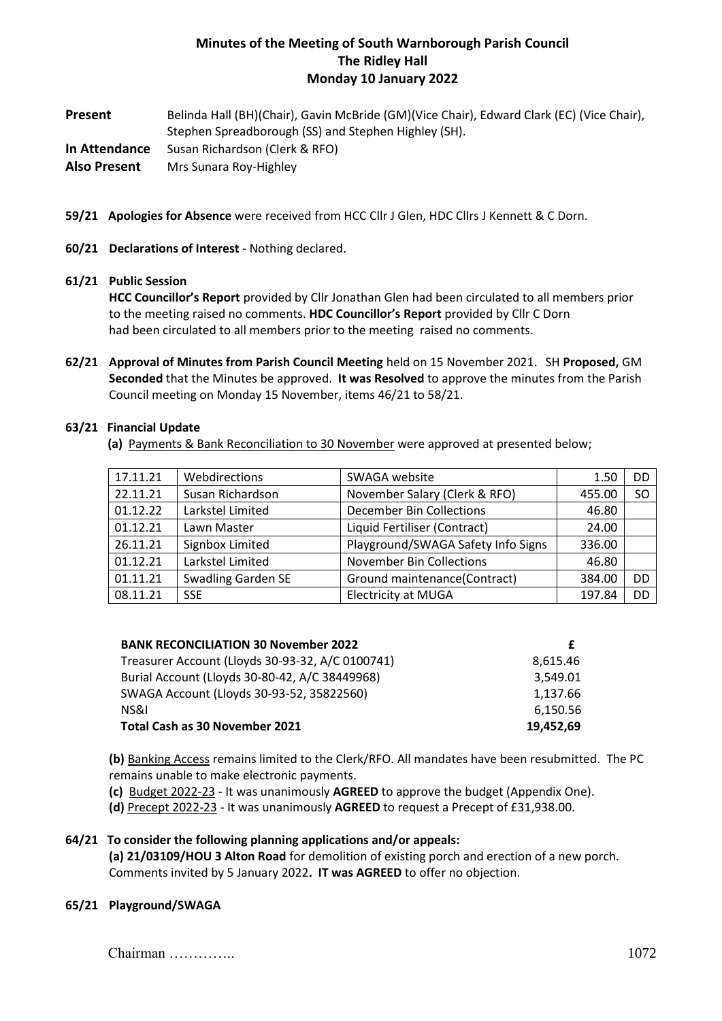# **Minutes of the Meeting of South Warnborough Parish Council The Ridley Hall Monday 10 January 2022**

**Present** Belinda Hall (BH)(Chair), Gavin McBride (GM)(Vice Chair), Edward Clark (EC) (Vice Chair), Stephen Spreadborough (SS) and Stephen Highley (SH). **In Attendance** Susan Richardson (Clerk & RFO)

**Also Present** Mrs Sunara Roy-Highley

- **59/21 Apologies for Absence** were received from HCC Cllr J Glen, HDC Cllrs J Kennett & C Dorn.
- **60/21 Declarations of Interest** Nothing declared.

## **61/21 Public Session**

**HCC Councillor's Report** provided by Cllr Jonathan Glen had been circulated to all members prior to the meeting raised no comments. **HDC Councillor's Report** provided by Cllr C Dorn had been circulated to all members prior to the meeting raised no comments.

**62/21 Approval of Minutes from Parish Council Meeting** held on 15 November 2021. SH **Proposed,** GM **Seconded** that the Minutes be approved. **It was Resolved** to approve the minutes from the Parish Council meeting on Monday 15 November, items 46/21 to 58/21.

#### **63/21 Financial Update**

 **(a)** Payments & Bank Reconciliation to 30 November were approved at presented below;

| 17.11.21 | Webdirections             | SWAGA website                      | 1.50   | DD            |
|----------|---------------------------|------------------------------------|--------|---------------|
| 22.11.21 | Susan Richardson          | November Salary (Clerk & RFO)      | 455.00 | <sub>SO</sub> |
| 01.12.22 | Larkstel Limited          | <b>December Bin Collections</b>    | 46.80  |               |
| 01.12.21 | Lawn Master               | Liquid Fertiliser (Contract)       | 24.00  |               |
| 26.11.21 | Signbox Limited           | Playground/SWAGA Safety Info Signs | 336.00 |               |
| 01.12.21 | Larkstel Limited          | <b>November Bin Collections</b>    | 46.80  |               |
| 01.11.21 | <b>Swadling Garden SE</b> | Ground maintenance(Contract)       | 384.00 | DD            |
| 08.11.21 | <b>SSE</b>                | <b>Electricity at MUGA</b>         | 197.84 | DD            |

| 8,615.46  |
|-----------|
| 3.549.01  |
| 1,137.66  |
| 6.150.56  |
| 19,452,69 |
|           |

**(b)** Banking Access remains limited to the Clerk/RFO. All mandates have been resubmitted. The PC remains unable to make electronic payments.

- **(c)** Budget 2022-23 It was unanimously **AGREED** to approve the budget (Appendix One).
- **(d)** Precept 2022-23 It was unanimously **AGREED** to request a Precept of £31,938.00.

# **64/21 To consider the following planning applications and/or appeals:**

**(a) 21/03109/HOU 3 Alton Road** for demolition of existing porch and erection of a new porch. Comments invited by 5 January 2022**. IT was AGREED** to offer no objection.

#### **65/21 Playground/SWAGA**

Chairman ………….. 1072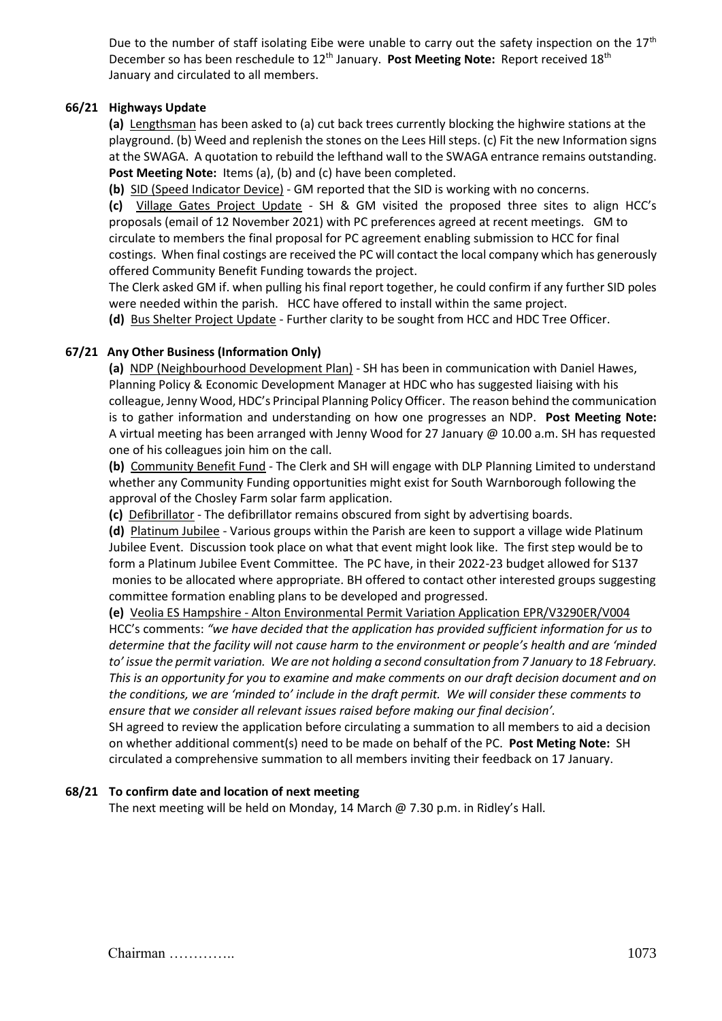Due to the number of staff isolating Eibe were unable to carry out the safety inspection on the  $17<sup>th</sup>$ December so has been reschedule to 12<sup>th</sup> January. Post Meeting Note: Report received 18<sup>th</sup> January and circulated to all members.

## **66/21 Highways Update**

**(a)** Lengthsman has been asked to (a) cut back trees currently blocking the highwire stations at the playground. (b) Weed and replenish the stones on the Lees Hill steps. (c) Fit the new Information signs at the SWAGA. A quotation to rebuild the lefthand wall to the SWAGA entrance remains outstanding. Post Meeting Note: Items (a), (b) and (c) have been completed.

**(b)** SID (Speed Indicator Device) - GM reported that the SID is working with no concerns.

**(c)** Village Gates Project Update - SH & GM visited the proposed three sites to align HCC's proposals (email of 12 November 2021) with PC preferences agreed at recent meetings. GM to circulate to members the final proposal for PC agreement enabling submission to HCC for final costings. When final costings are received the PC will contact the local company which has generously offered Community Benefit Funding towards the project.

The Clerk asked GM if. when pulling his final report together, he could confirm if any further SID poles were needed within the parish. HCC have offered to install within the same project.

**(d)** Bus Shelter Project Update - Further clarity to be sought from HCC and HDC Tree Officer.

## **67/21 Any Other Business (Information Only)**

**(a)** NDP (Neighbourhood Development Plan) - SH has been in communication with Daniel Hawes, Planning Policy & Economic Development Manager at HDC who has suggested liaising with his colleague, Jenny Wood, HDC's Principal Planning Policy Officer. The reason behind the communication is to gather information and understanding on how one progresses an NDP. **Post Meeting Note:**  A virtual meeting has been arranged with Jenny Wood for 27 January @ 10.00 a.m. SH has requested one of his colleagues join him on the call.

**(b)** Community Benefit Fund - The Clerk and SH will engage with DLP Planning Limited to understand whether any Community Funding opportunities might exist for South Warnborough following the approval of the Chosley Farm solar farm application.

**(c)** Defibrillator - The defibrillator remains obscured from sight by advertising boards.

**(d)** Platinum Jubilee - Various groups within the Parish are keen to support a village wide Platinum Jubilee Event. Discussion took place on what that event might look like. The first step would be to form a Platinum Jubilee Event Committee. The PC have, in their 2022-23 budget allowed for S137 monies to be allocated where appropriate. BH offered to contact other interested groups suggesting committee formation enabling plans to be developed and progressed.

**(e)** Veolia ES Hampshire - Alton Environmental Permit Variation Application EPR/V3290ER/V004 HCC's comments: *"we have decided that the application has provided sufficient information for us to determine that the facility will not cause harm to the environment or people's health and are 'minded to' issue the permit variation. We are not holding a second consultation from 7 January to 18 February. This is an opportunity for you to examine and make comments on our draft decision document and on the conditions, we are 'minded to' include in the draft permit. We will consider these comments to ensure that we consider all relevant issues raised before making our final decision'.*

SH agreed to review the application before circulating a summation to all members to aid a decision on whether additional comment(s) need to be made on behalf of the PC. **Post Meting Note:** SH circulated a comprehensive summation to all members inviting their feedback on 17 January.

#### **68/21 To confirm date and location of next meeting**

The next meeting will be held on Monday, 14 March @ 7.30 p.m. in Ridley's Hall.